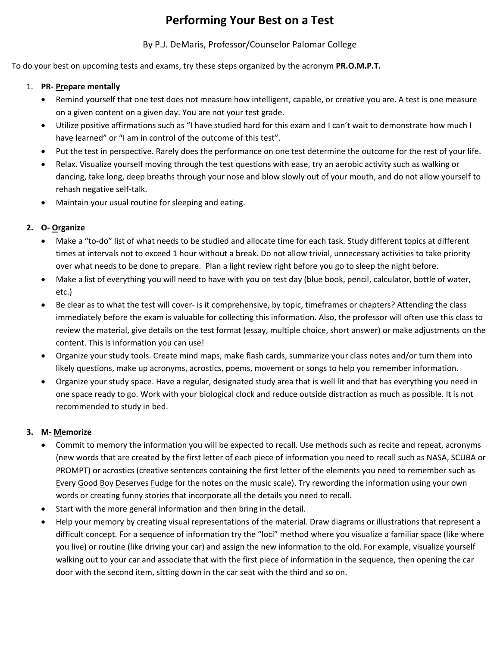# **Performing Your Best on a Test**

#### By P.J. DeMaris, Professor/Counselor Palomar College

To do your best on upcoming tests and exams, try these steps organized by the acronym **PR.O.M.P.T.**

- 1. **PR- Prepare mentally**
	- Remind yourself that one test does not measure how intelligent, capable, or creative you are. A test is one measure on a given content on a given day. You are not your test grade.
	- Utilize positive affirmations such as "I have studied hard for this exam and I can't wait to demonstrate how much I have learned" or "I am in control of the outcome of this test".
	- Put the test in perspective. Rarely does the performance on one test determine the outcome for the rest of your life.
	- Relax. Visualize yourself moving through the test questions with ease, try an aerobic activity such as walking or dancing, take long, deep breaths through your nose and blow slowly out of your mouth, and do not allow yourself to rehash negative self-talk.
	- Maintain your usual routine for sleeping and eating.

## **2. O- Organize**

- Make a "to-do" list of what needs to be studied and allocate time for each task. Study different topics at different times at intervals not to exceed 1 hour without a break. Do not allow trivial, unnecessary activities to take priority over what needs to be done to prepare. Plan a light review right before you go to sleep the night before.
- Make a list of everything you will need to have with you on test day (blue book, pencil, calculator, bottle of water, etc.)
- Be clear as to what the test will cover- is it comprehensive, by topic, timeframes or chapters? Attending the class immediately before the exam is valuable for collecting this information. Also, the professor will often use this class to review the material, give details on the test format (essay, multiple choice, short answer) or make adjustments on the content. This is information you can use!
- Organize your study tools. Create mind maps, make flash cards, summarize your class notes and/or turn them into likely questions, make up acronyms, acrostics, poems, movement or songs to help you remember information.
- Organize your study space. Have a regular, designated study area that is well lit and that has everything you need in one space ready to go. Work with your biological clock and reduce outside distraction as much as possible. It is not recommended to study in bed.

## **3. M- Memorize**

- Commit to memory the information you will be expected to recall. Use methods such as recite and repeat, acronyms (new words that are created by the first letter of each piece of information you need to recall such as NASA, SCUBA or PROMPT) or acrostics (creative sentences containing the first letter of the elements you need to remember such as Every Good Boy Deserves Fudge for the notes on the music scale). Try rewording the information using your own words or creating funny stories that incorporate all the details you need to recall.
- Start with the more general information and then bring in the detail.
- Help your memory by creating visual representations of the material. Draw diagrams or illustrations that represent a difficult concept. For a sequence of information try the "loci" method where you visualize a familiar space (like where you live) or routine (like driving your car) and assign the new information to the old. For example, visualize yourself walking out to your car and associate that with the first piece of information in the sequence, then opening the car door with the second item, sitting down in the car seat with the third and so on.